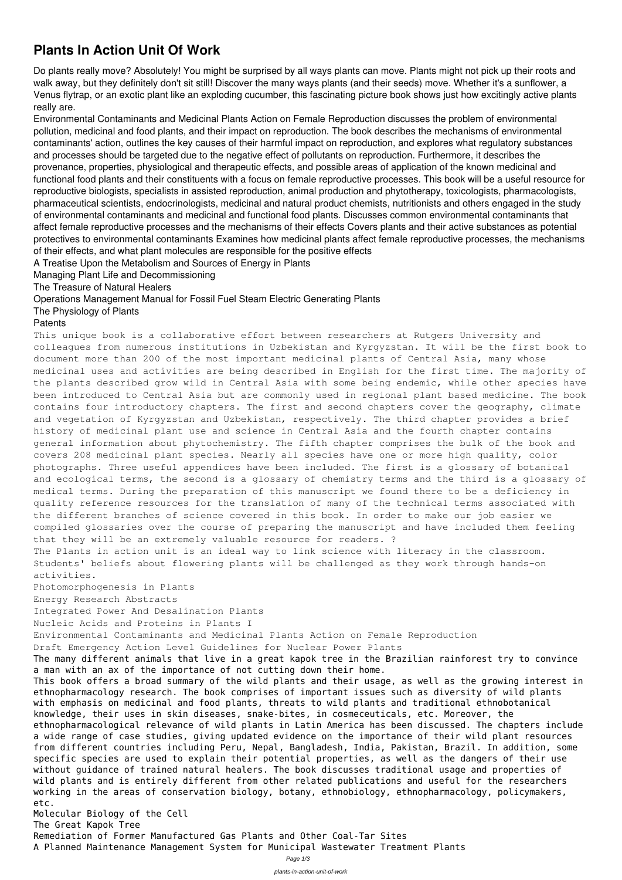## **Plants In Action Unit Of Work**

Do plants really move? Absolutely! You might be surprised by all ways plants can move. Plants might not pick up their roots and walk away, but they definitely don't sit still! Discover the many ways plants (and their seeds) move. Whether it's a sunflower, a Venus flytrap, or an exotic plant like an exploding cucumber, this fascinating picture book shows just how excitingly active plants really are.

Environmental Contaminants and Medicinal Plants Action on Female Reproduction discusses the problem of environmental pollution, medicinal and food plants, and their impact on reproduction. The book describes the mechanisms of environmental contaminants' action, outlines the key causes of their harmful impact on reproduction, and explores what regulatory substances and processes should be targeted due to the negative effect of pollutants on reproduction. Furthermore, it describes the provenance, properties, physiological and therapeutic effects, and possible areas of application of the known medicinal and functional food plants and their constituents with a focus on female reproductive processes. This book will be a useful resource for reproductive biologists, specialists in assisted reproduction, animal production and phytotherapy, toxicologists, pharmacologists, pharmaceutical scientists, endocrinologists, medicinal and natural product chemists, nutritionists and others engaged in the study of environmental contaminants and medicinal and functional food plants. Discusses common environmental contaminants that affect female reproductive processes and the mechanisms of their effects Covers plants and their active substances as potential protectives to environmental contaminants Examines how medicinal plants affect female reproductive processes, the mechanisms of their effects, and what plant molecules are responsible for the positive effects

A Treatise Upon the Metabolism and Sources of Energy in Plants

Managing Plant Life and Decommissioning

The Treasure of Natural Healers

Operations Management Manual for Fossil Fuel Steam Electric Generating Plants

The Physiology of Plants

## Patents

This unique book is a collaborative effort between researchers at Rutgers University and colleagues from numerous institutions in Uzbekistan and Kyrgyzstan. It will be the first book to document more than 200 of the most important medicinal plants of Central Asia, many whose medicinal uses and activities are being described in English for the first time. The majority of the plants described grow wild in Central Asia with some being endemic, while other species have been introduced to Central Asia but are commonly used in regional plant based medicine. The book contains four introductory chapters. The first and second chapters cover the geography, climate and vegetation of Kyrgyzstan and Uzbekistan, respectively. The third chapter provides a brief history of medicinal plant use and science in Central Asia and the fourth chapter contains general information about phytochemistry. The fifth chapter comprises the bulk of the book and covers 208 medicinal plant species. Nearly all species have one or more high quality, color photographs. Three useful appendices have been included. The first is a glossary of botanical and ecological terms, the second is a glossary of chemistry terms and the third is a glossary of medical terms. During the preparation of this manuscript we found there to be a deficiency in quality reference resources for the translation of many of the technical terms associated with the different branches of science covered in this book. In order to make our job easier we compiled glossaries over the course of preparing the manuscript and have included them feeling that they will be an extremely valuable resource for readers. ?

The Plants in action unit is an ideal way to link science with literacy in the classroom. Students' beliefs about flowering plants will be challenged as they work through hands-on activities.

Photomorphogenesis in Plants

Energy Research Abstracts

Integrated Power And Desalination Plants

Nucleic Acids and Proteins in Plants I

Environmental Contaminants and Medicinal Plants Action on Female Reproduction

Draft Emergency Action Level Guidelines for Nuclear Power Plants

The many different animals that live in a great kapok tree in the Brazilian rainforest try to convince

a man with an ax of the importance of not cutting down their home.

This book offers a broad summary of the wild plants and their usage, as well as the growing interest in ethnopharmacology research. The book comprises of important issues such as diversity of wild plants with emphasis on medicinal and food plants, threats to wild plants and traditional ethnobotanical knowledge, their uses in skin diseases, snake-bites, in cosmeceuticals, etc. Moreover, the ethnopharmacological relevance of wild plants in Latin America has been discussed. The chapters include a wide range of case studies, giving updated evidence on the importance of their wild plant resources from different countries including Peru, Nepal, Bangladesh, India, Pakistan, Brazil. In addition, some specific species are used to explain their potential properties, as well as the dangers of their use without guidance of trained natural healers. The book discusses traditional usage and properties of wild plants and is entirely different from other related publications and useful for the researchers working in the areas of conservation biology, botany, ethnobiology, ethnopharmacology, policymakers, etc.

## Molecular Biology of the Cell

The Great Kapok Tree

Remediation of Former Manufactured Gas Plants and Other Coal-Tar Sites

A Planned Maintenance Management System for Municipal Wastewater Treatment Plants

Page 1/3

plants-in-action-unit-of-work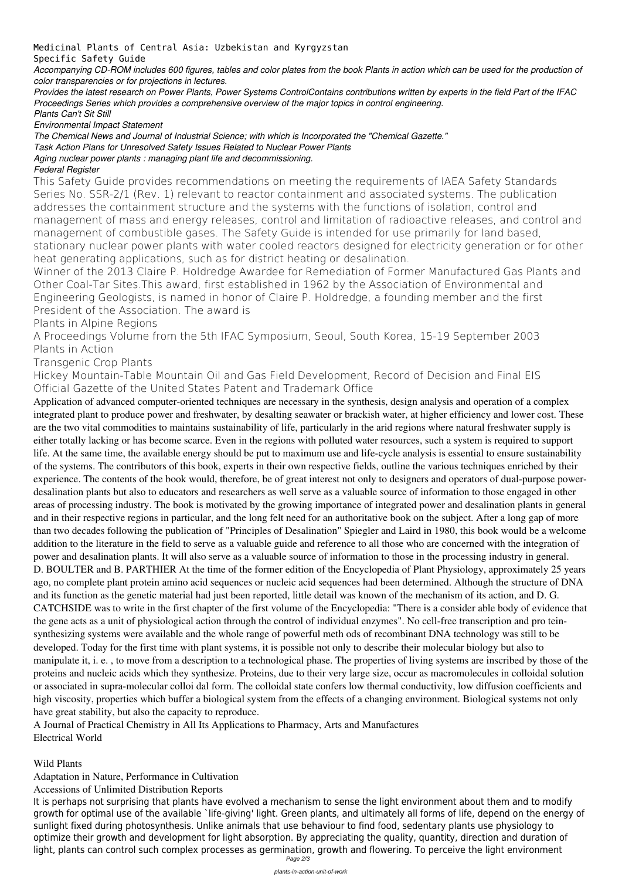Medicinal Plants of Central Asia: Uzbekistan and Kyrgyzstan

Specific Safety Guide

*Accompanying CD-ROM includes 600 figures, tables and color plates from the book Plants in action which can be used for the production of color transparencies or for projections in lectures.*

*Provides the latest research on Power Plants, Power Systems ControlContains contributions written by experts in the field Part of the IFAC Proceedings Series which provides a comprehensive overview of the major topics in control engineering.*

*Plants Can't Sit Still*

*Environmental Impact Statement*

*The Chemical News and Journal of Industrial Science; with which is Incorporated the "Chemical Gazette."*

*Task Action Plans for Unresolved Safety Issues Related to Nuclear Power Plants*

*Aging nuclear power plants : managing plant life and decommissioning.*

## *Federal Register*

This Safety Guide provides recommendations on meeting the requirements of IAEA Safety Standards Series No. SSR-2/1 (Rev. 1) relevant to reactor containment and associated systems. The publication addresses the containment structure and the systems with the functions of isolation, control and management of mass and energy releases, control and limitation of radioactive releases, and control and management of combustible gases. The Safety Guide is intended for use primarily for land based, stationary nuclear power plants with water cooled reactors designed for electricity generation or for other heat generating applications, such as for district heating or desalination.

Winner of the 2013 Claire P. Holdredge Awardee for Remediation of Former Manufactured Gas Plants and Other Coal-Tar Sites.This award, first established in 1962 by the Association of Environmental and Engineering Geologists, is named in honor of Claire P. Holdredge, a founding member and the first President of the Association. The award is

Plants in Alpine Regions

A Proceedings Volume from the 5th IFAC Symposium, Seoul, South Korea, 15-19 September 2003 Plants in Action

Transgenic Crop Plants

Hickey Mountain-Table Mountain Oil and Gas Field Development, Record of Decision and Final EIS Official Gazette of the United States Patent and Trademark Office

Application of advanced computer-oriented techniques are necessary in the synthesis, design analysis and operation of a complex integrated plant to produce power and freshwater, by desalting seawater or brackish water, at higher efficiency and lower cost. These are the two vital commodities to maintains sustainability of life, particularly in the arid regions where natural freshwater supply is either totally lacking or has become scarce. Even in the regions with polluted water resources, such a system is required to support life. At the same time, the available energy should be put to maximum use and life-cycle analysis is essential to ensure sustainability of the systems. The contributors of this book, experts in their own respective fields, outline the various techniques enriched by their experience. The contents of the book would, therefore, be of great interest not only to designers and operators of dual-purpose powerdesalination plants but also to educators and researchers as well serve as a valuable source of information to those engaged in other areas of processing industry. The book is motivated by the growing importance of integrated power and desalination plants in general and in their respective regions in particular, and the long felt need for an authoritative book on the subject. After a long gap of more than two decades following the publication of "Principles of Desalination" Spiegler and Laird in 1980, this book would be a welcome addition to the literature in the field to serve as a valuable guide and reference to all those who are concerned with the integration of power and desalination plants. It will also serve as a valuable source of information to those in the processing industry in general. D. BOULTER and B. PARTHIER At the time of the former edition of the Encyclopedia of Plant Physiology, approximately 25 years ago, no complete plant protein amino acid sequences or nucleic acid sequences had been determined. Although the structure of DNA and its function as the genetic material had just been reported, little detail was known of the mechanism of its action, and D. G. CATCHSIDE was to write in the first chapter of the first volume of the Encyclopedia: "There is a consider able body of evidence that the gene acts as a unit of physiological action through the control of individual enzymes". No cell-free transcription and pro teinsynthesizing systems were available and the whole range of powerful meth ods of recombinant DNA technology was still to be developed. Today for the first time with plant systems, it is possible not only to describe their molecular biology but also to manipulate it, i. e. , to move from a description to a technological phase. The properties of living systems are inscribed by those of the

proteins and nucleic acids which they synthesize. Proteins, due to their very large size, occur as macromolecules in colloidal solution or associated in supra-molecular colloi dal form. The colloidal state confers low thermal conductivity, low diffusion coefficients and high viscosity, properties which buffer a biological system from the effects of a changing environment. Biological systems not only have great stability, but also the capacity to reproduce. A Journal of Practical Chemistry in All Its Applications to Pharmacy, Arts and Manufactures

Electrical World

Wild Plants

Adaptation in Nature, Performance in Cultivation

Accessions of Unlimited Distribution Reports

It is perhaps not surprising that plants have evolved a mechanism to sense the light environment about them and to modify growth for optimal use of the available `life-giving' light. Green plants, and ultimately all forms of life, depend on the energy of sunlight fixed during photosynthesis. Unlike animals that use behaviour to find food, sedentary plants use physiology to optimize their growth and development for light absorption. By appreciating the quality, quantity, direction and duration of light, plants can control such complex processes as germination, growth and flowering. To perceive the light environment Page 2/3